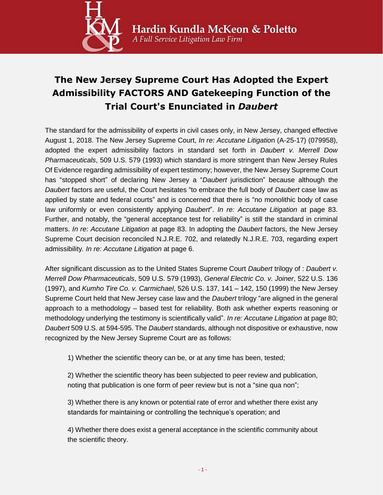

## **The New Jersey Supreme Court Has Adopted the Expert Admissibility FACTORS AND Gatekeeping Function of the Trial Court's Enunciated in** *Daubert*

The standard for the admissibility of experts in civil cases only, in New Jersey, changed effective August 1, 2018. The New Jersey Supreme Court, *In re: Accutane Litigatio*n (A-25-17) (079958), adopted the expert admissibility factors in standard set forth in *Daubert v. Merrell Dow Pharmaceuticals*, 509 U.S. 579 (1993) which standard is more stringent than New Jersey Rules Of Evidence regarding admissibility of expert testimony; however, the New Jersey Supreme Court has "stopped short" of declaring New Jersey a "*Daubert* jurisdiction" because although the *Daubert* factors are useful, the Court hesitates "to embrace the full body of *Daubert* case law as applied by state and federal courts" and is concerned that there is "no monolithic body of case law uniformly or even consistently applying *Daubert*". *In re: Accutane Litigation* at page 83. Further, and notably, the "general acceptance test for reliability" is still the standard in criminal matters. *In re: Accutane Litigation* at page 83. In adopting the *Daubert* factors, the New Jersey Supreme Court decision reconciled N.J.R.E. 702, and relatedly N.J.R.E. 703, regarding expert admissibility*. In re: Accutane Litigation* at page 6.

After significant discussion as to the United States Supreme Court *Daubert* trilogy of : *Daubert v. Merrell Dow Pharmaceuticals*, 509 U.S. 579 (1993), *General Electric Co. v. Joiner*, 522 U.S. 136 (1997), and *Kumho Tire Co. v. Carmichael*, 526 U.S. 137, 141 – 142, 150 (1999) the New Jersey Supreme Court held that New Jersey case law and the *Daubert* trilogy "are aligned in the general approach to a methodology – based test for reliability. Both ask whether experts reasoning or methodology underlying the testimony is scientifically valid". *In re: Accutane Litigation* at page 80; *Daubert* 509 U.S. at 594-595. The *Daubert* standards, although not dispositive or exhaustive, now recognized by the New Jersey Supreme Court are as follows:

1) Whether the scientific theory can be, or at any time has been, tested;

2) Whether the scientific theory has been subjected to peer review and publication, noting that publication is one form of peer review but is not a "sine qua non";

3) Whether there is any known or potential rate of error and whether there exist any standards for maintaining or controlling the technique's operation; and

4) Whether there does exist a general acceptance in the scientific community about the scientific theory.